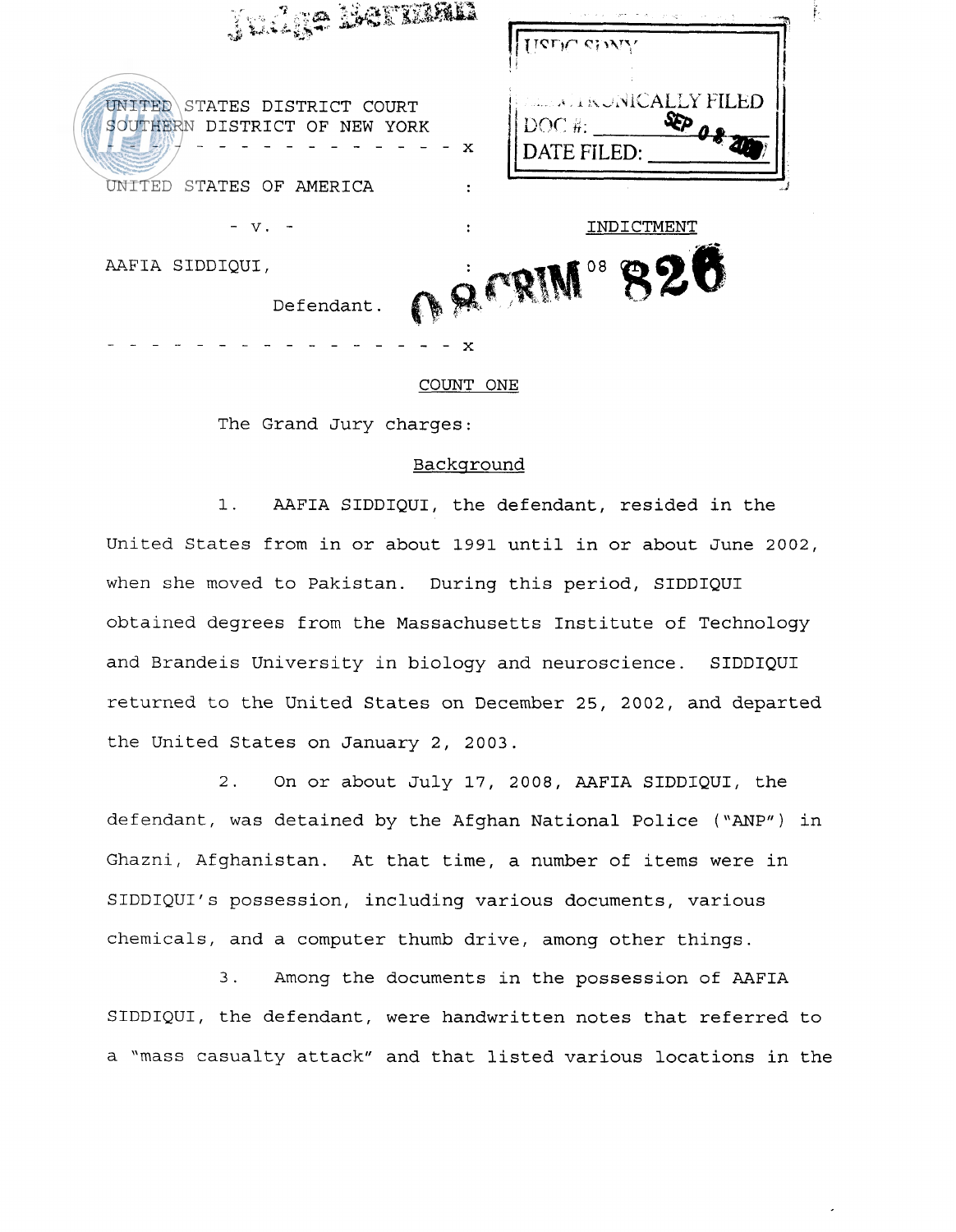| . Lilia 1965 XXIII.                                                   | TICLIC CHAIL                                                  |
|-----------------------------------------------------------------------|---------------------------------------------------------------|
| STATES DISTRICT COURT<br>UNITED<br>SOUTHERN DISTRICT OF NEW YORK<br>x | <b>FELLING AND STREET STREET FILED</b><br>DOC#<br>DATE FILED: |
| TED<br>STATES OF AMERICA                                              |                                                               |
| $V_{\rm \star}$                                                       | INDICTMENT                                                    |
| AAFIA SIDDIQUI,                                                       | 08<br>320                                                     |
| $\mathbf{a}$<br>Defendant.                                            |                                                               |
| x                                                                     |                                                               |

Ě,

## COUNT ONE

The Grand Jury charges:

#### Backqround

1. AAFIA SIDDIQUI, the defendant, resided in the United States from in or about 1991 until in or about June 2002, when she moved to Pakistan. During this period, SIDDIQUI obtained degrees from the Massachusetts Institute of Technology and Brandeis University in biology and neuroscience. SIDDIQUI returned to the United States on December 25, 2002, and departed the United States on January 2, 2003.

2. On or about July 17, 2008, AAFIA SIDDIQUI, the defendant, was detained by the Afghan National Police ("ANP") in Ghazni, Afghanistan. At that time, a number of items were in SIDDIQUI's possession, including various documents, various chemicals, and a computer thumb drive, among other things.

3. Among the documents in the possession of AAFIA SIDDIQUI, the defendant, were handwritten notes that referred to a "mass casualty attack" and that listed various locations in the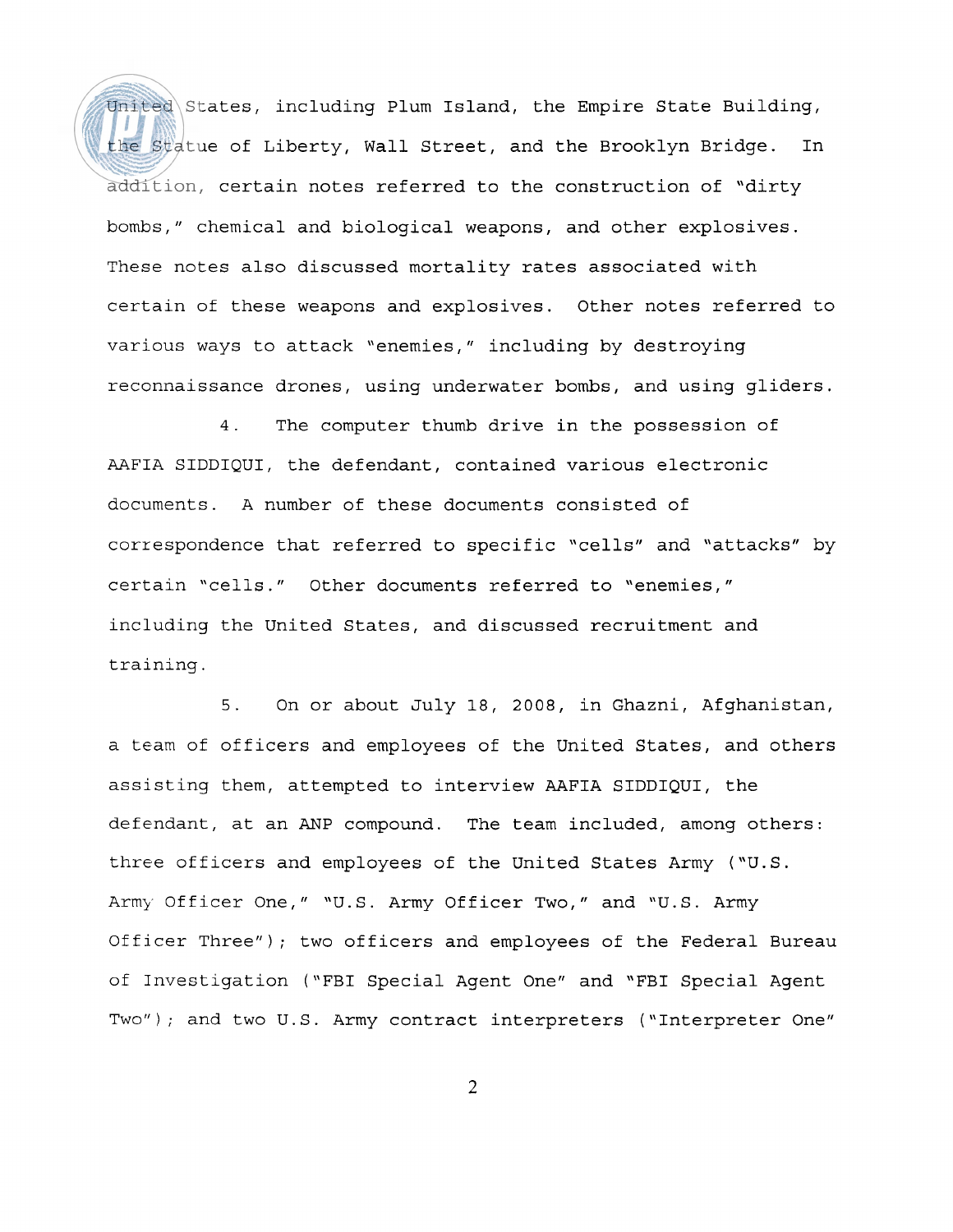United States, including Plum Island, the Empire State Building, the Statue of Liberty, Wall Street, and the Brooklyn Bridge. In addition, certain notes referred to the construction of "dirty bombs," chemical and biological weapons, and other explosives. These notes also discussed mortality rates associated with certain of these weapons and explosives. Other notes referred to various ways to attack "enemies," including by destroying reconnaissance drones, using underwater bombs, and using gliders.

4. The computer thumb drive in the possession of AAFIA SIDDIQUI, the defendant, contained various electronic documents. A number of these documents consisted of correspondence that referred to specific "cells" and "attacks" by certain "cells." Other documents referred to "enemies," including the United States, and discussed recruitment and training.

5. On or about July 18, 2008, in Ghazni, Afghanistan, a team of officers and employees of the United States, and others assisting them, attempted to interview AAFIA SIDDIQUI, the defendant, at an ANP compound. The team included, among others: three officers and employees of the United States Army ("U.S. Army Officer One," "U.S. Army Officer Two," and "U.S. Army Officer Three"); two officers and employees of the Federal Bureau of Investigation ("FBI Special Agent One" and "FBI Special Agent Two"); and two U.S. Army contract interpreters ("Interpreter One"

 $\overline{2}$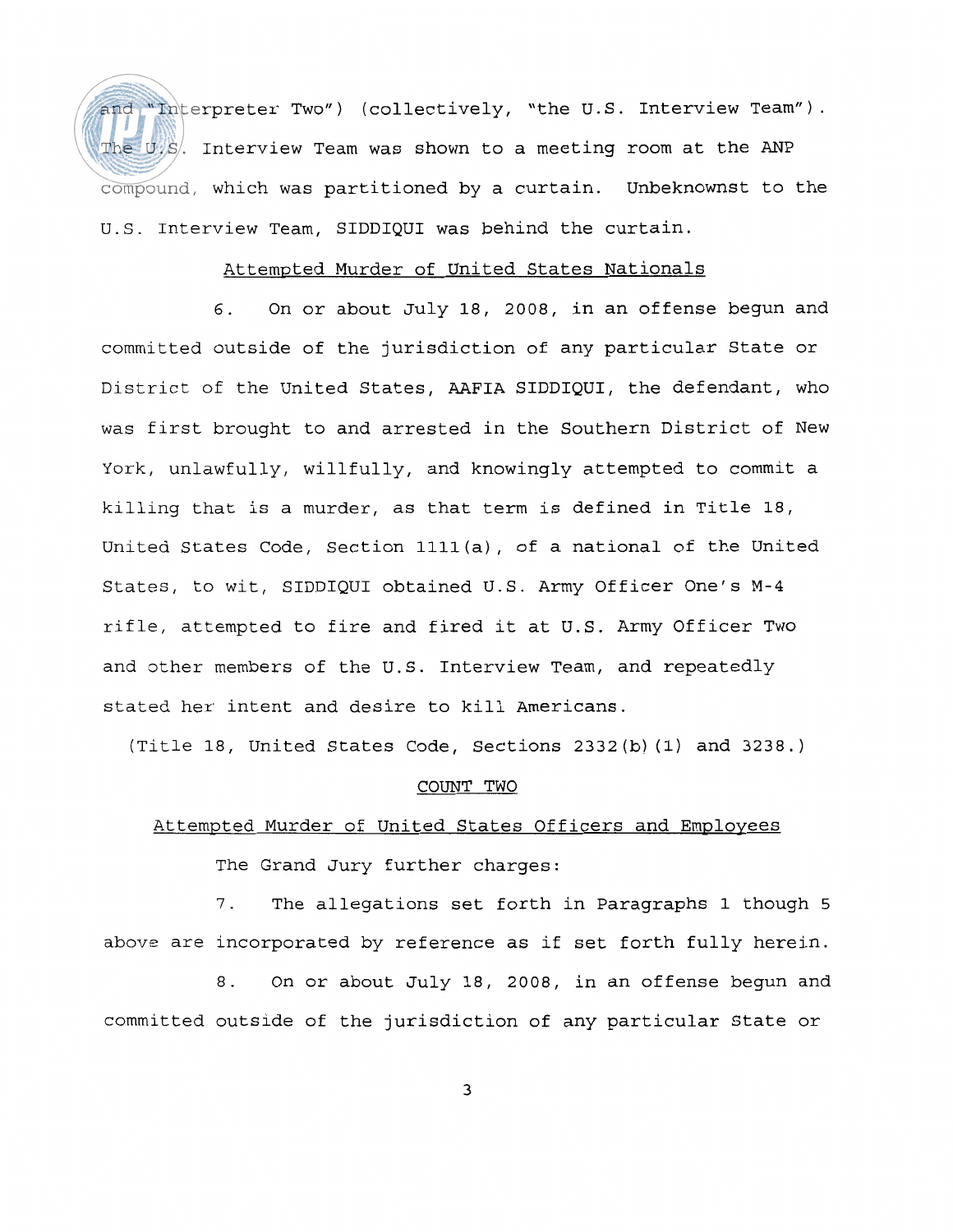and "Interpreter Two") (collectively, "the U.S. Interview Team"). The U.S. Interview Team was shown to a meeting room at the ANP compound, which was partitioned by a curtain. Unbeknownst to the U.S. Interview Team, SIDDIQUI was behind the curtain.

## Attempted Murder of United States Nationals

**6.** On or about July 18, 2008, in an offense begun and committed outside of the jurisdiction of any particular State or District of the United States, AAFIA SIDDIQUI, the defendant, who was first brought to and arrested in the Southern District of New York, unlawfully, willfully, and knowingly attempted to commit a killing that is a murder, as that term is defined in Title 18, United States Code, Section llll(a), of a national of the United States, to wit, SIDDIQUI obtained U.S. Army Officer One's M-4 rifle, attempted to fire and fired it at U.S. Army Officer Two and other members of the U.S. Interview Team, and repeatedly stated her intent and desire to kill Americans.

(Title 18, United States Code, Sections 2332 (b) (1) and 3238. )

### COUNT TWO

## Attempted Murder of United States Officers and Employees

The Grand Jury further charges:

7. The allegations set forth in Paragraphs 1 though 5 above are incorporated by reference as if set forth fully herein.

8. On or about July **18,** 2008, in an offense begun and committed outside of the jurisdiction of any particular State or

3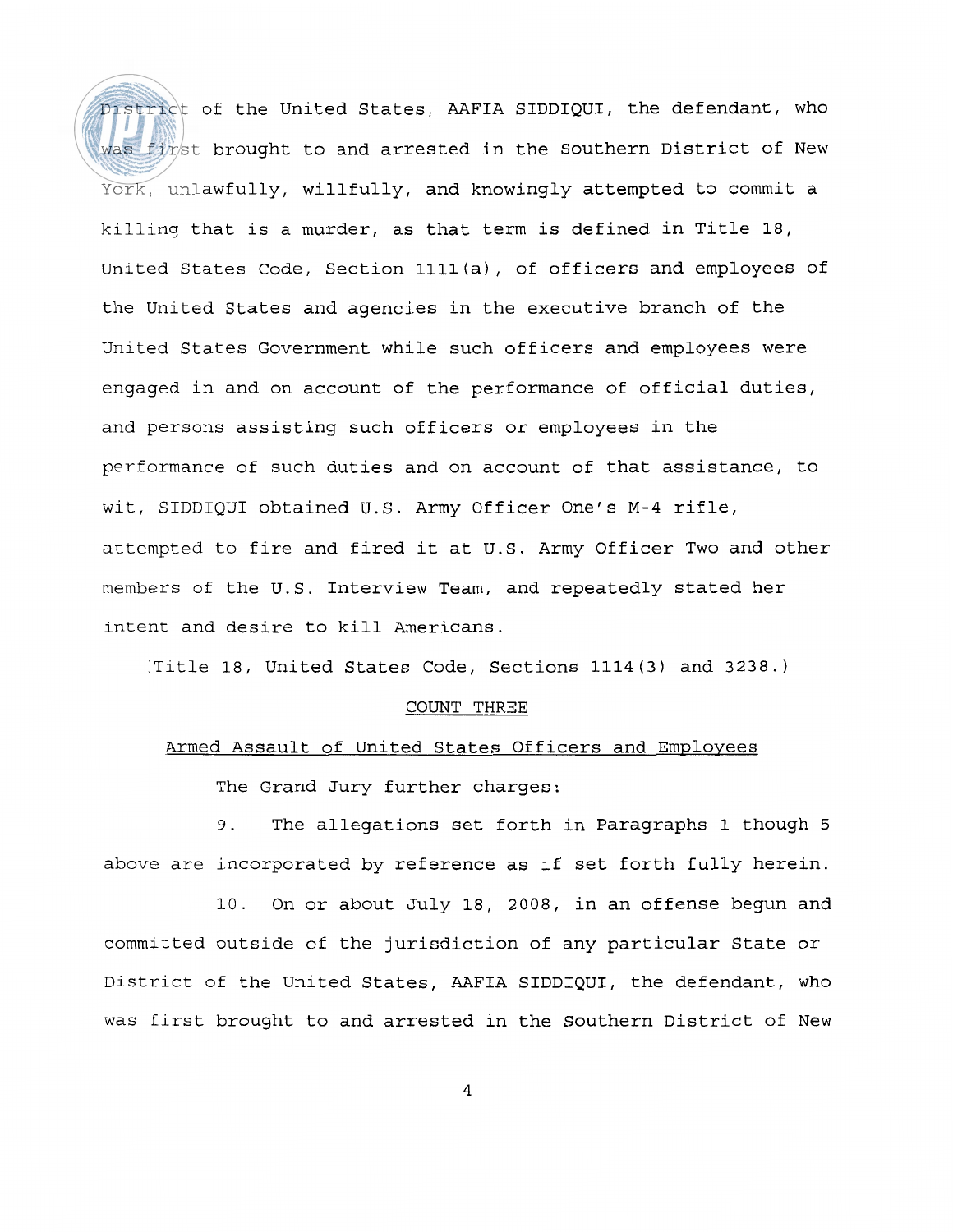District of the United States, AAFIA SIDDIQUI, the defendant, who was first brought to and arrested in the Southern District of New York, unlawfully, willfully, and knowingly attempted to commit a killing that is a murder, as that term is defined in Title 18, United States Code, Section llll(a), of officers and employees of the United States and agencies in the executive branch of the United States Government while such officers and employees were engaged in and on account of the performance of official duties, and persons assisting such officers or employees in the performance of such duties and on account of that assistance, to wit, SIDDIQUI obtained U.S. Army Officer One's M-4 rifle, attempted to fire and fired it at U.S. Army officer Two and other members of the U.S. Interview Team, and repeatedly stated her intent and desire to kill Americans.

:Title 18, United States Code, Sections 1114(3) and 3238.)

#### COUNT THREE

## Armed Assault of United States Officers and Employees

The Grand Jury further charges:

9. The allegations set forth in Paragraphs 1 though 5 above are incorporated by reference as if set forth fully herein.

10. On or about July 18, 2008, in an offense begun and committed outside of the jurisdiction of any particular State or District of the United States, AAFIA SIDDIQUI, the defendant, who was first brought to and arrested in the Southern District of New

 $\overline{4}$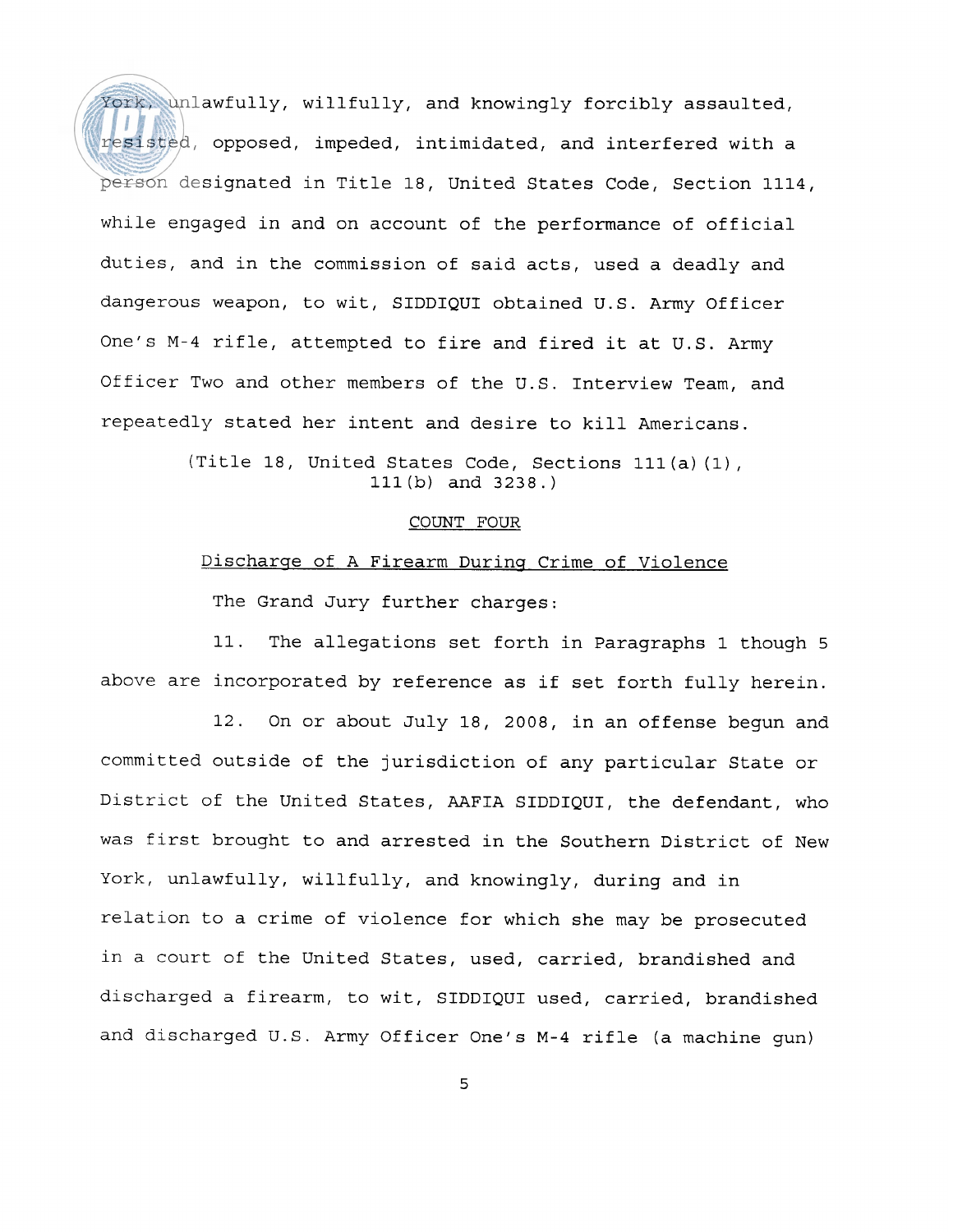York, unlawfully, willfully, and knowingly forcibly assaulted, resisted, opposed, impeded, intimidated, and interfered with a person designated in Title 18, United States Code, Section 1114, while engaged in and on account of the performance of official duties, and in the commission of said acts, used a deadly and dangerous weapon, to wit, SIDDIQUI obtained U.S. Army Officer One's M-4 rifle, attempted to fire and fired it at U.S. Army Officer Two and other members of the U.S. Interview Team, and repeatedly stated her intent and desire to kill Americans.

> (Title 18, United States Code, Sections Ill (a) (1) , Ill (b) and 3238.)

## COUNT FOUR

# Discharge of A Firearm During Crime of Violence

The Grand Jury further charges:

11. The allegations set forth in Paragraphs 1 though 5 above are incorporated by reference as if set forth fully herein.

12. On or about July 18, 2008, in an offense begun and committed outside of the jurisdiction of any particular State or District of the United States, AAFIA SIDDIQUI, the defendant, who was first brought to and arrested in the Southern District of New York, unlawfully, willfully, and knowingly, during and in relation to a crime of violence for which she may be prosecuted in a court of the United States, used, carried, brandished and discharged a firearm, to wit, SIDDIQUI used, carried, brandished and discharged U.S. Army Officer One's M-4 rifle (a machine gun)

5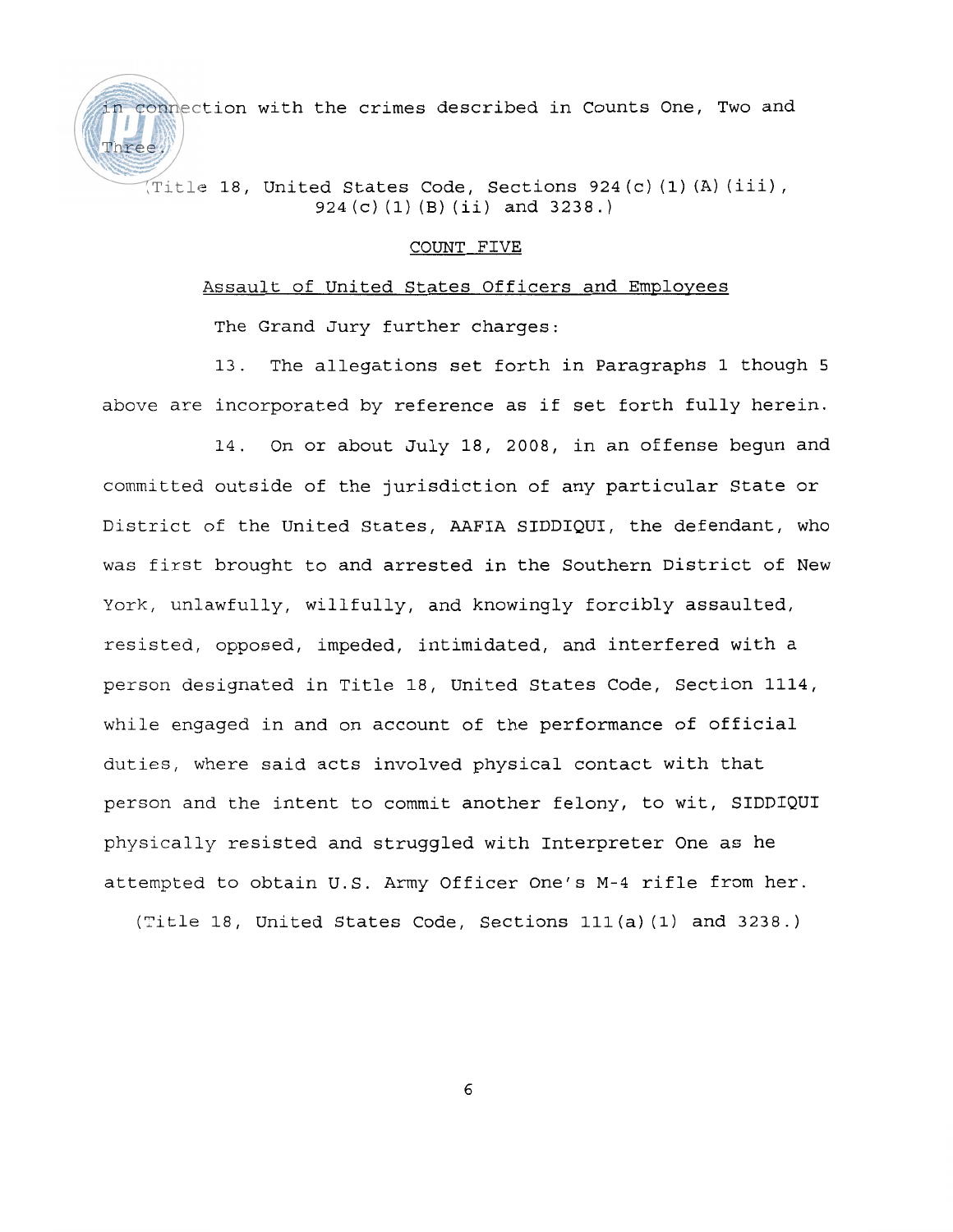connection with the crimes described in Counts One, Two and

{Title 18, United States Code, Sections 924 (c) **(1)** (A) (iii) , 924 (c) (1) (B) (ii) and 3238.)

### COUNT FIVE

## Assault of United States Officers and Employees

The Grand Jury further charges:

Three.)

13. The allegations set forth in Paragraphs 1 though 5 above are incorporated by reference as if set forth fully herein.

14. On or about July 18, 2008, in an offense begun and committed outside of the jurisdiction of any particular State or District of the United States, AAFIA SIDDIQUI, the defendant, who was first brought to and arrested in the Southern District of New York, unlawfully, willfully, and knowingly forcibly assaulted, resisted, opposed, impeded, intimidated, and interfered with a person designated in Title 18, United States Code, Section 1114, while engaged in and on account of the performance of official duties, where said acts involved physical contact with that person and the intent to commit another felony, to wit, SIDDIQUI physically resisted and struggled with Interpreter One as he attempted to obtain U.S. Army Officer One's M-4 rifle from her.

(Title 18, United States Code, Sections Ill (a) (1) and 3238.)

6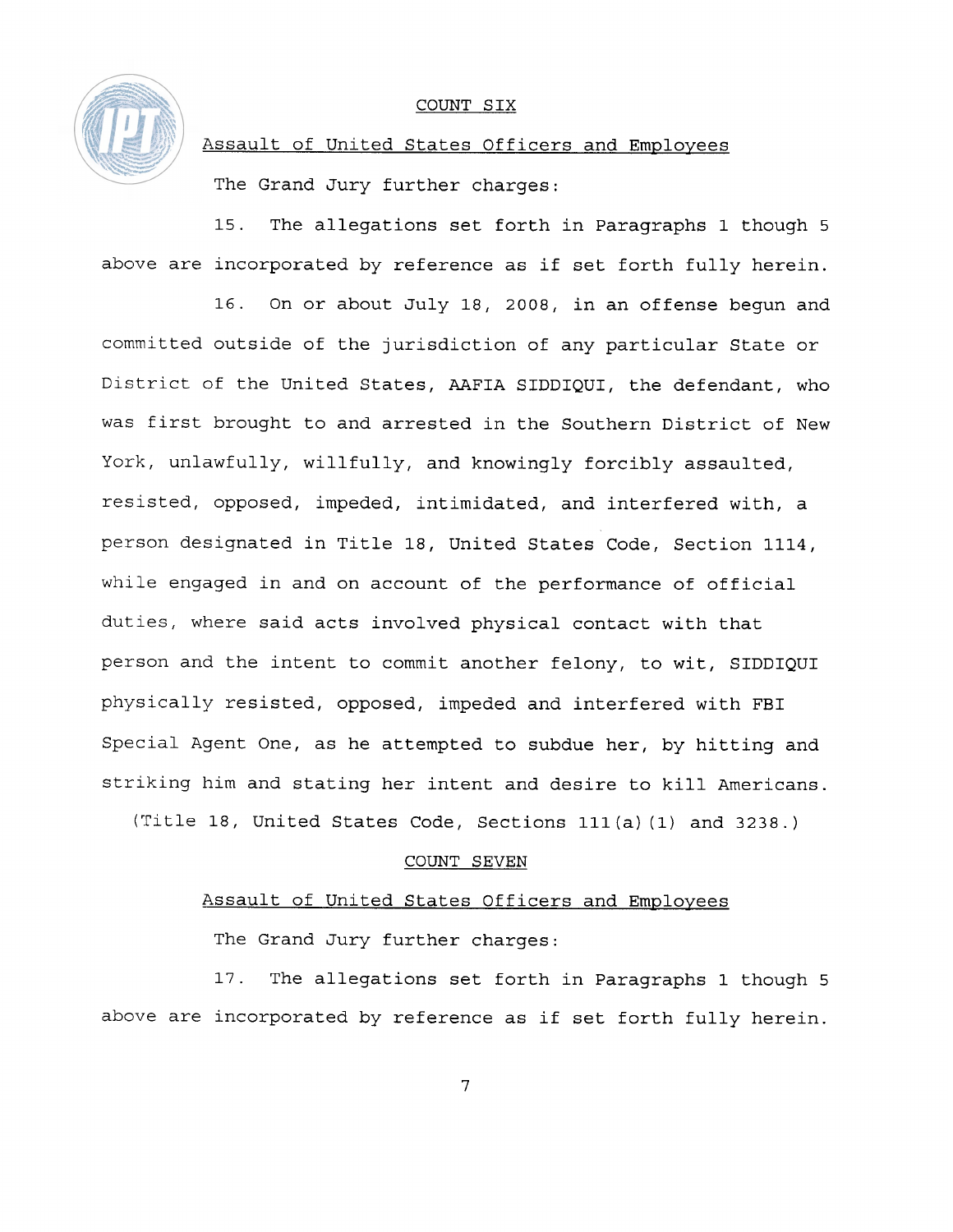

### COUNT SIX

Assault of United States Officers and Employees

The Grand Jury further charges:

15. The allegations set forth in Paragraphs 1 though 5 above are incorporated by reference as if set forth fully herein.

16. On or about July 18, 2008, in an offense begun and committed outside of the jurisdiction of any particular State or District of the United States, AAFIA SIDDIQUI, the defendant, who was first brought to and arrested in the Southern District of New York, unlawfully, willfully, and knowingly forcibly assaulted, resisted, opposed, impeded, intimidated, and interfered with, a person designated in Title 18, United States Code, Section 1114, while engaged in and on account of the performance of official duties, where said acts involved physical contact with that person and the intent to commit another felony, to wit, SIDDIQUI physically resisted, opposed, impeded and interfered with FBI Special Agent One, as he attempted to subdue her, by hitting and striking him and stating her intent and desire to kill Americans.

(Title 18, United States Code, Sections Ill (a) (1) and 3238. )

## COUNT SEVEN

## Assault of United States Officers and Employees

The Grand Jury further charges:

17. The allegations set forth in Paragraphs 1 though 5 above are incorporated by reference as if set forth fully herein.

 $\overline{7}$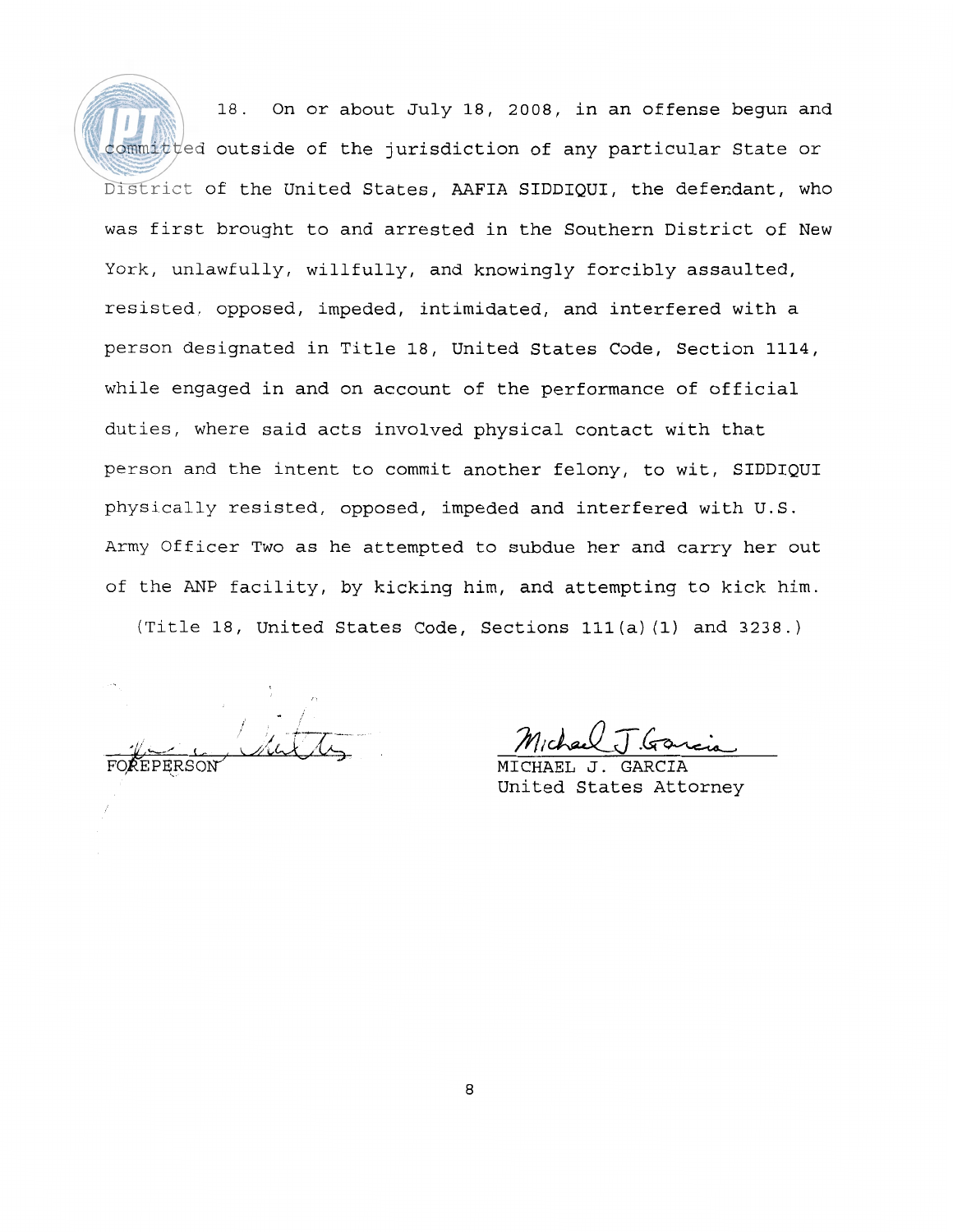18. On or about July 18, 2008, in an offense begun and committed outside of the jurisdiction of any particular State or District of the United States, AAFIA SIDDIQUI, the defendant, who was first brought to and arrested in the Southern District of New York, unlawfully, willfully, and knowingly forcibly assaulted, resisted, opposed, impeded, intimidated, and interfered with a person designated in Title 18, United States Code, Section 1114, while engaged in and on account of the performance of official duties, where said acts involved physical contact with that person and the intent to commit another felony, to wit, SIDDIQUI physically resisted, opposed, impeded and interfered with U.S. Army Officer Two as he attempted to subdue her and carry her out of the ANP facility, by kicking him, and attempting to kick him.

(Title 18, United States Code, Sections lll(a) (1) and 3238.)

 $M_1$ chau J. Gr

MICHAEL United States Attorney